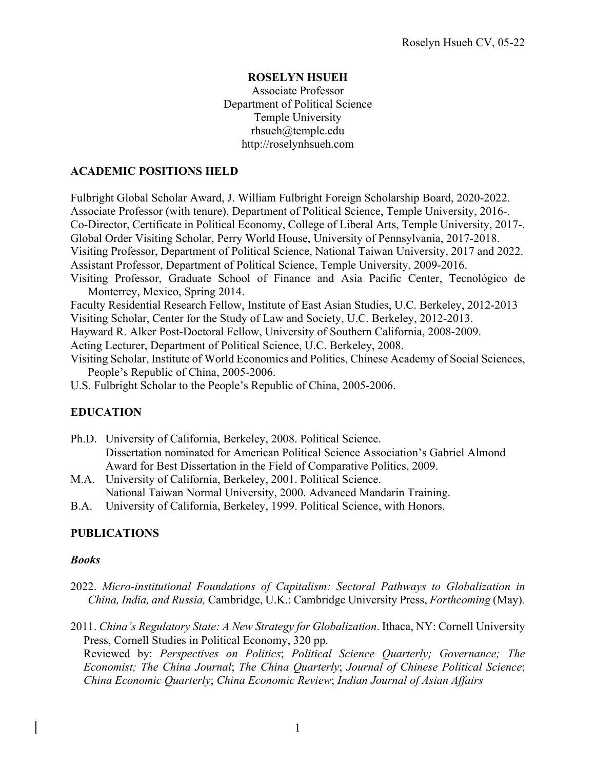# **ROSELYN HSUEH**

Associate Professor Department of Political Science Temple University rhsueh@temple.edu http://roselynhsueh.com

# **ACADEMIC POSITIONS HELD**

Fulbright Global Scholar Award, J. William Fulbright Foreign Scholarship Board, 2020-2022. Associate Professor (with tenure), Department of Political Science, Temple University, 2016-. Co-Director, Certificate in Political Economy, College of Liberal Arts, Temple University, 2017-. Global Order Visiting Scholar, Perry World House, University of Pennsylvania, 2017-2018. Visiting Professor, Department of Political Science, National Taiwan University, 2017 and 2022. Assistant Professor, Department of Political Science, Temple University, 2009-2016. Visiting Professor, Graduate School of Finance and Asia Pacific Center, Tecnológico de Monterrey, Mexico, Spring 2014. Faculty Residential Research Fellow, Institute of East Asian Studies, U.C. Berkeley, 2012-2013 Visiting Scholar, Center for the Study of Law and Society, U.C. Berkeley, 2012-2013. Hayward R. Alker Post-Doctoral Fellow, University of Southern California, 2008-2009. Acting Lecturer, Department of Political Science, U.C. Berkeley, 2008. Visiting Scholar, Institute of World Economics and Politics, Chinese Academy of Social Sciences, People's Republic of China, 2005-2006. U.S. Fulbright Scholar to the People's Republic of China, 2005-2006.

# **EDUCATION**

- Ph.D. University of California, Berkeley, 2008. Political Science. Dissertation nominated for American Political Science Association's Gabriel Almond Award for Best Dissertation in the Field of Comparative Politics, 2009.
- M.A. University of California, Berkeley, 2001. Political Science. National Taiwan Normal University, 2000. Advanced Mandarin Training.
- B.A. University of California, Berkeley, 1999. Political Science, with Honors.

# **PUBLICATIONS**

# *Books*

2022. *Micro-institutional Foundations of Capitalism: Sectoral Pathways to Globalization in China, India, and Russia,* Cambridge, U.K.: Cambridge University Press, *Forthcoming* (May)*.* 

2011. *China's Regulatory State: A New Strategy for Globalization*. Ithaca, NY: Cornell University Press, Cornell Studies in Political Economy, 320 pp. Reviewed by: *Perspectives on Politics*; *Political Science Quarterly; Governance; The Economist; The China Journal*; *The China Quarterly*; *Journal of Chinese Political Science*; *China Economic Quarterly*; *China Economic Review*; *Indian Journal of Asian Affairs*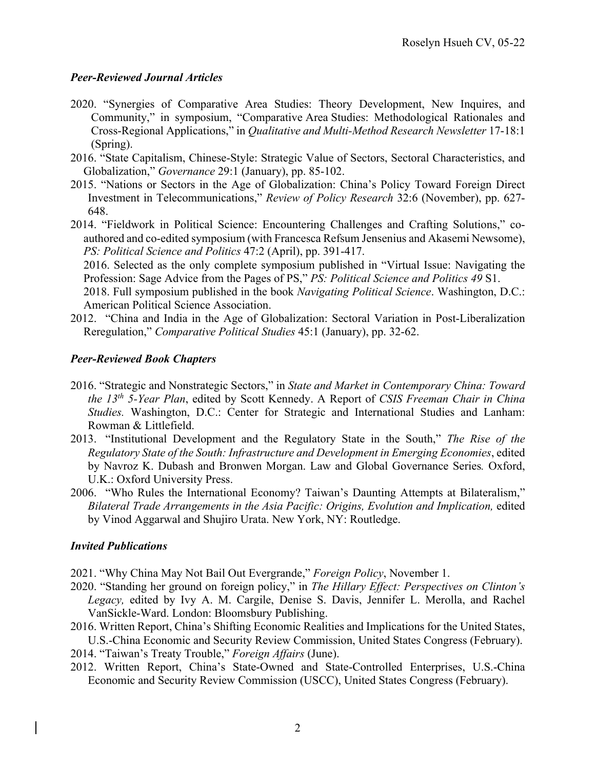### *Peer-Reviewed Journal Articles*

- 2020. "Synergies of Comparative Area Studies: Theory Development, New Inquires, and Community," in symposium, "Comparative Area Studies: Methodological Rationales and Cross-Regional Applications," in *Qualitative and Multi-Method Research Newsletter* 17-18:1 (Spring).
- 2016. "State Capitalism, Chinese-Style: Strategic Value of Sectors, Sectoral Characteristics, and Globalization," *Governance* 29:1 (January), pp. 85-102.
- 2015. "Nations or Sectors in the Age of Globalization: China's Policy Toward Foreign Direct Investment in Telecommunications," *Review of Policy Research* 32:6 (November), pp. 627- 648.
- 2014. "Fieldwork in Political Science: Encountering Challenges and Crafting Solutions," coauthored and co-edited symposium (with Francesca Refsum Jensenius and Akasemi Newsome), *PS: Political Science and Politics* 47:2 (April), pp. 391-417.

2016. Selected as the only complete symposium published in "Virtual Issue: Navigating the Profession: Sage Advice from the Pages of PS," *PS: Political Science and Politics 49* S1.

2018. Full symposium published in the book *Navigating Political Science*. Washington, D.C.: American Political Science Association.

2012. "China and India in the Age of Globalization: Sectoral Variation in Post-Liberalization Reregulation," *Comparative Political Studies* 45:1 (January), pp. 32-62.

### *Peer-Reviewed Book Chapters*

- 2016. "Strategic and Nonstrategic Sectors," in *State and Market in Contemporary China: Toward the 13th 5-Year Plan*, edited by Scott Kennedy. A Report of *CSIS Freeman Chair in China Studies.* Washington, D.C.: Center for Strategic and International Studies and Lanham: Rowman & Littlefield.
- 2013. "Institutional Development and the Regulatory State in the South," *The Rise of the Regulatory State of the South: Infrastructure and Development in Emerging Economies*, edited by Navroz K. Dubash and Bronwen Morgan. Law and Global Governance Series*.* Oxford, U.K.: Oxford University Press.
- 2006. "Who Rules the International Economy? Taiwan's Daunting Attempts at Bilateralism," *Bilateral Trade Arrangements in the Asia Pacific: Origins, Evolution and Implication,* edited by Vinod Aggarwal and Shujiro Urata. New York, NY: Routledge.

# *Invited Publications*

- 2021. "Why China May Not Bail Out Evergrande," *Foreign Policy*, November 1.
- 2020. "Standing her ground on foreign policy," in *The Hillary Effect: Perspectives on Clinton's Legacy,* edited by Ivy A. M. Cargile, Denise S. Davis, Jennifer L. Merolla, and Rachel VanSickle-Ward. London: Bloomsbury Publishing.
- 2016. Written Report, China's Shifting Economic Realities and Implications for the United States, U.S.-China Economic and Security Review Commission, United States Congress (February).
- 2014. "Taiwan's Treaty Trouble," *Foreign Affairs* (June).
- 2012. Written Report, China's State-Owned and State-Controlled Enterprises, U.S.-China Economic and Security Review Commission (USCC), United States Congress (February).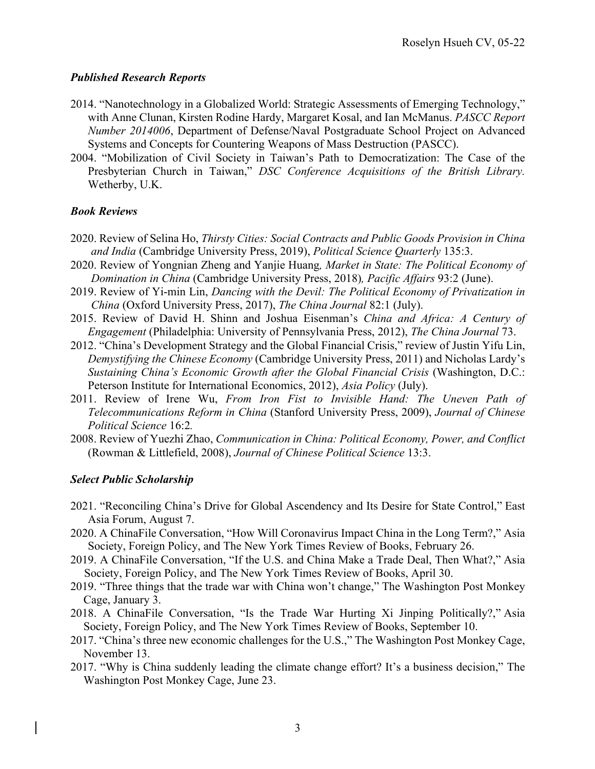#### *Published Research Reports*

- 2014. "Nanotechnology in a Globalized World: Strategic Assessments of Emerging Technology," with Anne Clunan, Kirsten Rodine Hardy, Margaret Kosal, and Ian McManus. *PASCC Report Number 2014006*, Department of Defense/Naval Postgraduate School Project on Advanced Systems and Concepts for Countering Weapons of Mass Destruction (PASCC).
- 2004. "Mobilization of Civil Society in Taiwan's Path to Democratization: The Case of the Presbyterian Church in Taiwan," *DSC Conference Acquisitions of the British Library.* Wetherby, U.K.

#### *Book Reviews*

- 2020. Review of Selina Ho, *Thirsty Cities: Social Contracts and Public Goods Provision in China and India* (Cambridge University Press, 2019), *Political Science Quarterly* 135:3.
- 2020. Review of Yongnian Zheng and Yanjie Huang*, Market in State: The Political Economy of Domination in China* (Cambridge University Press, 2018)*, Pacific Affairs* 93:2 (June).
- 2019. Review of Yi-min Lin, *Dancing with the Devil: The Political Economy of Privatization in China* (Oxford University Press, 2017), *The China Journal* 82:1 (July).
- 2015. Review of David H. Shinn and Joshua Eisenman's *China and Africa: A Century of Engagement* (Philadelphia: University of Pennsylvania Press, 2012), *The China Journal* 73.
- 2012. "China's Development Strategy and the Global Financial Crisis," review of Justin Yifu Lin, *Demystifying the Chinese Economy* (Cambridge University Press, 2011) and Nicholas Lardy's *Sustaining China's Economic Growth after the Global Financial Crisis* (Washington, D.C.: Peterson Institute for International Economics, 2012), *Asia Policy* (July).
- 2011. Review of Irene Wu, *From Iron Fist to Invisible Hand: The Uneven Path of Telecommunications Reform in China* (Stanford University Press, 2009), *Journal of Chinese Political Science* 16:2*.*
- 2008. Review of Yuezhi Zhao, *Communication in China: Political Economy, Power, and Conflict* (Rowman & Littlefield, 2008), *Journal of Chinese Political Science* 13:3.

#### *Select Public Scholarship*

- 2021. "Reconciling China's Drive for Global Ascendency and Its Desire for State Control," East Asia Forum, August 7.
- 2020. A ChinaFile Conversation, "How Will Coronavirus Impact China in the Long Term?," Asia Society, Foreign Policy, and The New York Times Review of Books, February 26.
- 2019. A ChinaFile Conversation, "If the U.S. and China Make a Trade Deal, Then What?," Asia Society, Foreign Policy, and The New York Times Review of Books, April 30.
- 2019. "Three things that the trade war with China won't change," The Washington Post Monkey Cage, January 3.
- 2018. A ChinaFile Conversation, "Is the Trade War Hurting Xi Jinping Politically?," Asia Society, Foreign Policy, and The New York Times Review of Books, September 10.
- 2017. "China's three new economic challenges for the U.S.," The Washington Post Monkey Cage, November 13.
- 2017. "Why is China suddenly leading the climate change effort? It's a business decision," The Washington Post Monkey Cage, June 23.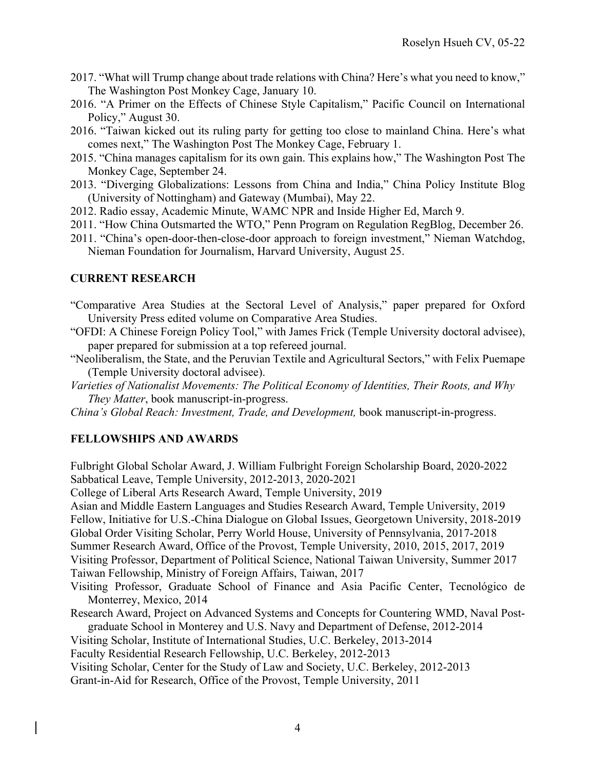- 2017. "What will Trump change about trade relations with China? Here's what you need to know," The Washington Post Monkey Cage, January 10.
- 2016. "A Primer on the Effects of Chinese Style Capitalism," Pacific Council on International Policy," August 30.
- 2016. "Taiwan kicked out its ruling party for getting too close to mainland China. Here's what comes next," The Washington Post The Monkey Cage, February 1.
- 2015. "China manages capitalism for its own gain. This explains how," The Washington Post The Monkey Cage, September 24.
- 2013. "Diverging Globalizations: Lessons from China and India," China Policy Institute Blog (University of Nottingham) and Gateway (Mumbai), May 22.
- 2012. Radio essay, Academic Minute, WAMC NPR and Inside Higher Ed, March 9.
- 2011. "How China Outsmarted the WTO," Penn Program on Regulation RegBlog, December 26.
- 2011. "China's open-door-then-close-door approach to foreign investment," Nieman Watchdog, Nieman Foundation for Journalism, Harvard University, August 25.

### **CURRENT RESEARCH**

- "Comparative Area Studies at the Sectoral Level of Analysis," paper prepared for Oxford University Press edited volume on Comparative Area Studies.
- "OFDI: A Chinese Foreign Policy Tool," with James Frick (Temple University doctoral advisee), paper prepared for submission at a top refereed journal.
- "Neoliberalism, the State, and the Peruvian Textile and Agricultural Sectors," with Felix Puemape (Temple University doctoral advisee).
- *Varieties of Nationalist Movements: The Political Economy of Identities, Their Roots, and Why They Matter*, book manuscript-in-progress.
- *China's Global Reach: Investment, Trade, and Development,* book manuscript-in-progress.

#### **FELLOWSHIPS AND AWARDS**

Fulbright Global Scholar Award, J. William Fulbright Foreign Scholarship Board, 2020-2022 Sabbatical Leave, Temple University, 2012-2013, 2020-2021

College of Liberal Arts Research Award, Temple University, 2019

Asian and Middle Eastern Languages and Studies Research Award, Temple University, 2019

Fellow, Initiative for U.S.-China Dialogue on Global Issues, Georgetown University, 2018-2019

Global Order Visiting Scholar, Perry World House, University of Pennsylvania, 2017-2018

Summer Research Award, Office of the Provost, Temple University, 2010, 2015, 2017, 2019

Visiting Professor, Department of Political Science, National Taiwan University, Summer 2017 Taiwan Fellowship, Ministry of Foreign Affairs, Taiwan, 2017

- Visiting Professor, Graduate School of Finance and Asia Pacific Center, Tecnológico de Monterrey, Mexico, 2014
- Research Award, Project on Advanced Systems and Concepts for Countering WMD, Naval Postgraduate School in Monterey and U.S. Navy and Department of Defense, 2012-2014

Visiting Scholar, Institute of International Studies, U.C. Berkeley, 2013-2014

Faculty Residential Research Fellowship, U.C. Berkeley, 2012-2013

Visiting Scholar, Center for the Study of Law and Society, U.C. Berkeley, 2012-2013

Grant-in-Aid for Research, Office of the Provost, Temple University, 2011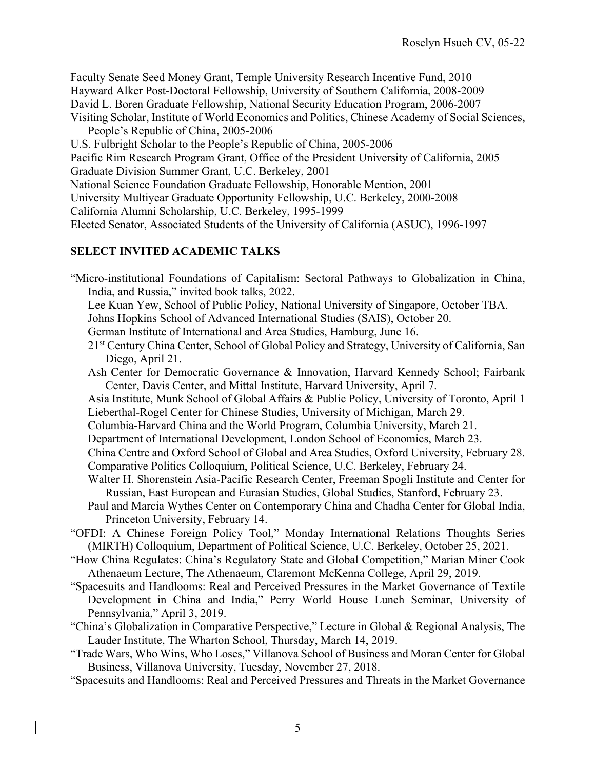Faculty Senate Seed Money Grant, Temple University Research Incentive Fund, 2010 Hayward Alker Post-Doctoral Fellowship, University of Southern California, 2008-2009 David L. Boren Graduate Fellowship, National Security Education Program, 2006-2007 Visiting Scholar, Institute of World Economics and Politics, Chinese Academy of Social Sciences, People's Republic of China, 2005-2006

U.S. Fulbright Scholar to the People's Republic of China, 2005-2006

Pacific Rim Research Program Grant, Office of the President University of California, 2005

Graduate Division Summer Grant, U.C. Berkeley, 2001

National Science Foundation Graduate Fellowship, Honorable Mention, 2001

University Multiyear Graduate Opportunity Fellowship, U.C. Berkeley, 2000-2008

California Alumni Scholarship, U.C. Berkeley, 1995-1999

Elected Senator, Associated Students of the University of California (ASUC), 1996-1997

# **SELECT INVITED ACADEMIC TALKS**

- "Micro-institutional Foundations of Capitalism: Sectoral Pathways to Globalization in China, India, and Russia," invited book talks, 2022.
	- Lee Kuan Yew, School of Public Policy, National University of Singapore, October TBA.

Johns Hopkins School of Advanced International Studies (SAIS), October 20.

German Institute of International and Area Studies, Hamburg, June 16.

- 21<sup>st</sup> Century China Center, School of Global Policy and Strategy, University of California, San Diego, April 21.
- Ash Center for Democratic Governance & Innovation, Harvard Kennedy School; Fairbank Center, Davis Center, and Mittal Institute, Harvard University, April 7.

Asia Institute, Munk School of Global Affairs & Public Policy, University of Toronto, April 1 Lieberthal-Rogel Center for Chinese Studies, University of Michigan, March 29.

- Columbia-Harvard China and the World Program, Columbia University, March 21.
- Department of International Development, London School of Economics, March 23.

China Centre and Oxford School of Global and Area Studies, Oxford University, February 28. Comparative Politics Colloquium, Political Science, U.C. Berkeley, February 24.

- Walter H. Shorenstein Asia-Pacific Research Center, Freeman Spogli Institute and Center for Russian, East European and Eurasian Studies, Global Studies, Stanford, February 23.
- Paul and Marcia Wythes Center on Contemporary China and Chadha Center for Global India, Princeton University, February 14.
- "OFDI: A Chinese Foreign Policy Tool," Monday International Relations Thoughts Series (MIRTH) Colloquium, Department of Political Science, U.C. Berkeley, October 25, 2021.
- "How China Regulates: China's Regulatory State and Global Competition," Marian Miner Cook Athenaeum Lecture, The Athenaeum, Claremont McKenna College, April 29, 2019.
- "Spacesuits and Handlooms: Real and Perceived Pressures in the Market Governance of Textile Development in China and India," Perry World House Lunch Seminar, University of Pennsylvania," April 3, 2019.
- "China's Globalization in Comparative Perspective," Lecture in Global & Regional Analysis, The Lauder Institute, The Wharton School, Thursday, March 14, 2019.
- "Trade Wars, Who Wins, Who Loses," Villanova School of Business and Moran Center for Global Business, Villanova University, Tuesday, November 27, 2018.
- "Spacesuits and Handlooms: Real and Perceived Pressures and Threats in the Market Governance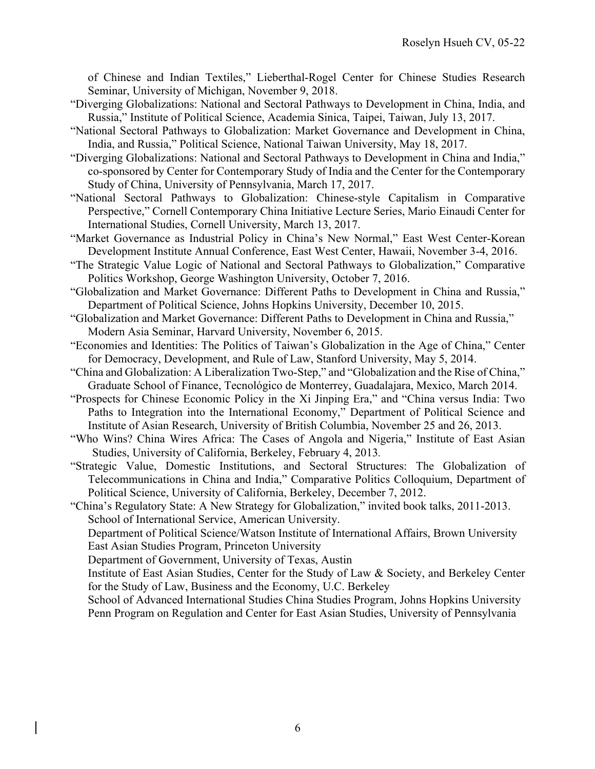of Chinese and Indian Textiles," Lieberthal-Rogel Center for Chinese Studies Research Seminar, University of Michigan, November 9, 2018.

- "Diverging Globalizations: National and Sectoral Pathways to Development in China, India, and Russia," Institute of Political Science, Academia Sinica, Taipei, Taiwan, July 13, 2017.
- "National Sectoral Pathways to Globalization: Market Governance and Development in China, India, and Russia," Political Science, National Taiwan University, May 18, 2017.
- "Diverging Globalizations: National and Sectoral Pathways to Development in China and India," co-sponsored by Center for Contemporary Study of India and the Center for the Contemporary Study of China, University of Pennsylvania, March 17, 2017.
- "National Sectoral Pathways to Globalization: Chinese-style Capitalism in Comparative Perspective," Cornell Contemporary China Initiative Lecture Series, Mario Einaudi Center for International Studies, Cornell University, March 13, 2017.
- "Market Governance as Industrial Policy in China's New Normal," East West Center-Korean Development Institute Annual Conference, East West Center, Hawaii, November 3-4, 2016.
- "The Strategic Value Logic of National and Sectoral Pathways to Globalization," Comparative Politics Workshop, George Washington University, October 7, 2016.
- "Globalization and Market Governance: Different Paths to Development in China and Russia," Department of Political Science, Johns Hopkins University, December 10, 2015.
- "Globalization and Market Governance: Different Paths to Development in China and Russia," Modern Asia Seminar, Harvard University, November 6, 2015.
- "Economies and Identities: The Politics of Taiwan's Globalization in the Age of China," Center for Democracy, Development, and Rule of Law, Stanford University, May 5, 2014.
- "China and Globalization: A Liberalization Two-Step," and "Globalization and the Rise of China," Graduate School of Finance, Tecnológico de Monterrey, Guadalajara, Mexico, March 2014.
- "Prospects for Chinese Economic Policy in the Xi Jinping Era," and "China versus India: Two Paths to Integration into the International Economy," Department of Political Science and Institute of Asian Research, University of British Columbia, November 25 and 26, 2013.
- "Who Wins? China Wires Africa: The Cases of Angola and Nigeria," Institute of East Asian Studies, University of California, Berkeley, February 4, 2013*.*
- "Strategic Value, Domestic Institutions, and Sectoral Structures: The Globalization of Telecommunications in China and India," Comparative Politics Colloquium, Department of Political Science, University of California, Berkeley, December 7, 2012.
- "China's Regulatory State: A New Strategy for Globalization," invited book talks, 2011-2013. School of International Service, American University.

Department of Political Science/Watson Institute of International Affairs, Brown University East Asian Studies Program, Princeton University

Department of Government, University of Texas, Austin

Institute of East Asian Studies, Center for the Study of Law & Society, and Berkeley Center for the Study of Law, Business and the Economy, U.C. Berkeley

School of Advanced International Studies China Studies Program, Johns Hopkins University Penn Program on Regulation and Center for East Asian Studies, University of Pennsylvania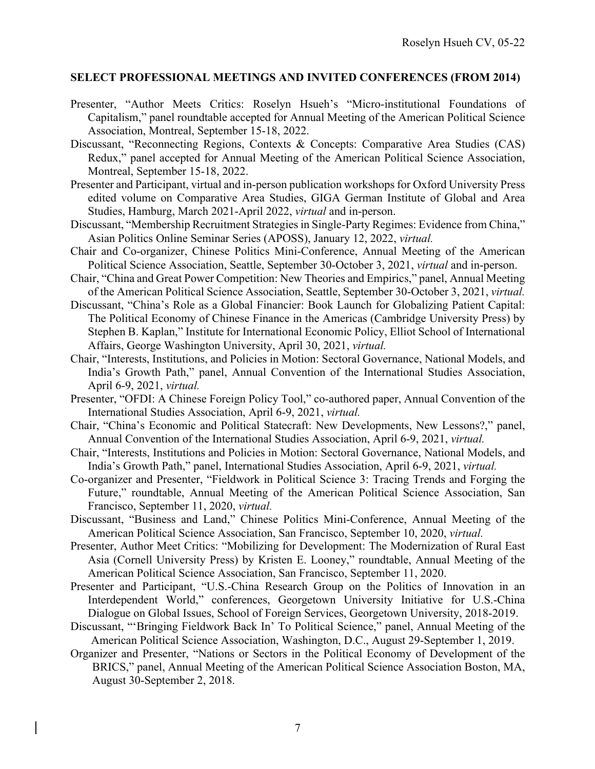#### **SELECT PROFESSIONAL MEETINGS AND INVITED CONFERENCES (FROM 2014)**

- Presenter, "Author Meets Critics: Roselyn Hsueh's "Micro-institutional Foundations of Capitalism," panel roundtable accepted for Annual Meeting of the American Political Science Association, Montreal, September 15-18, 2022.
- Discussant, "Reconnecting Regions, Contexts & Concepts: Comparative Area Studies (CAS) Redux," panel accepted for Annual Meeting of the American Political Science Association, Montreal, September 15-18, 2022.
- Presenter and Participant, virtual and in-person publication workshops for Oxford University Press edited volume on Comparative Area Studies, GIGA German Institute of Global and Area Studies, Hamburg, March 2021-April 2022, *virtual* and in-person.
- Discussant, "Membership Recruitment Strategies in Single-Party Regimes: Evidence from China," Asian Politics Online Seminar Series (APOSS), January 12, 2022, *virtual.*
- Chair and Co-organizer, Chinese Politics Mini-Conference, Annual Meeting of the American Political Science Association, Seattle, September 30-October 3, 2021, *virtual* and in-person.
- Chair, "China and Great Power Competition: New Theories and Empirics," panel, Annual Meeting of the American Political Science Association, Seattle, September 30-October 3, 2021, *virtual.*
- Discussant, "China's Role as a Global Financier: Book Launch for Globalizing Patient Capital: The Political Economy of Chinese Finance in the Americas (Cambridge University Press) by Stephen B. Kaplan," Institute for International Economic Policy, Elliot School of International Affairs, George Washington University, April 30, 2021, *virtual.*
- Chair, "Interests, Institutions, and Policies in Motion: Sectoral Governance, National Models, and India's Growth Path," panel, Annual Convention of the International Studies Association, April 6-9, 2021, *virtual.*
- Presenter, "OFDI: A Chinese Foreign Policy Tool," co-authored paper, Annual Convention of the International Studies Association, April 6-9, 2021, *virtual.*
- Chair, "China's Economic and Political Statecraft: New Developments, New Lessons?," panel, Annual Convention of the International Studies Association, April 6-9, 2021, *virtual.*
- Chair, "Interests, Institutions and Policies in Motion: Sectoral Governance, National Models, and India's Growth Path," panel, International Studies Association, April 6-9, 2021, *virtual.*
- Co-organizer and Presenter, "Fieldwork in Political Science 3: Tracing Trends and Forging the Future," roundtable, Annual Meeting of the American Political Science Association, San Francisco, September 11, 2020, *virtual.*
- Discussant, "Business and Land," Chinese Politics Mini-Conference, Annual Meeting of the American Political Science Association, San Francisco, September 10, 2020, *virtual.*
- Presenter, Author Meet Critics: "Mobilizing for Development: The Modernization of Rural East Asia (Cornell University Press) by Kristen E. Looney," roundtable, Annual Meeting of the American Political Science Association, San Francisco, September 11, 2020.
- Presenter and Participant, "U.S.-China Research Group on the Politics of Innovation in an Interdependent World," conferences, Georgetown University Initiative for U.S.-China Dialogue on Global Issues, School of Foreign Services, Georgetown University, 2018-2019.
- Discussant, "'Bringing Fieldwork Back In' To Political Science," panel, Annual Meeting of the American Political Science Association, Washington, D.C., August 29-September 1, 2019.
- Organizer and Presenter, "Nations or Sectors in the Political Economy of Development of the BRICS," panel, Annual Meeting of the American Political Science Association Boston, MA, August 30-September 2, 2018.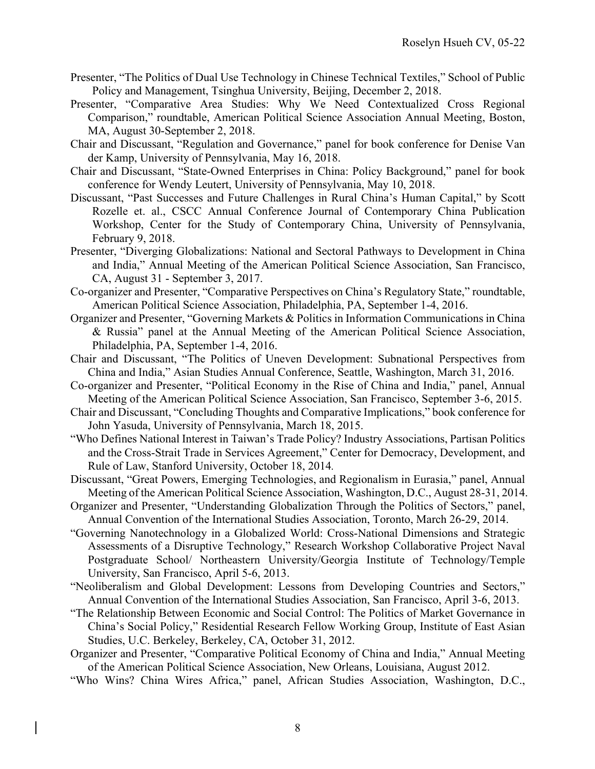- Presenter, "The Politics of Dual Use Technology in Chinese Technical Textiles," School of Public Policy and Management, Tsinghua University, Beijing, December 2, 2018.
- Presenter, "Comparative Area Studies: Why We Need Contextualized Cross Regional Comparison," roundtable, American Political Science Association Annual Meeting, Boston, MA, August 30-September 2, 2018.
- Chair and Discussant, "Regulation and Governance," panel for book conference for Denise Van der Kamp, University of Pennsylvania, May 16, 2018.
- Chair and Discussant, "State-Owned Enterprises in China: Policy Background," panel for book conference for Wendy Leutert, University of Pennsylvania, May 10, 2018.
- Discussant, "Past Successes and Future Challenges in Rural China's Human Capital," by Scott Rozelle et. al., CSCC Annual Conference Journal of Contemporary China Publication Workshop, Center for the Study of Contemporary China, University of Pennsylvania, February 9, 2018.
- Presenter, "Diverging Globalizations: National and Sectoral Pathways to Development in China and India," Annual Meeting of the American Political Science Association, San Francisco, CA, August 31 - September 3, 2017.
- Co-organizer and Presenter, "Comparative Perspectives on China's Regulatory State," roundtable, American Political Science Association, Philadelphia, PA, September 1-4, 2016.
- Organizer and Presenter, "Governing Markets & Politics in Information Communications in China & Russia" panel at the Annual Meeting of the American Political Science Association, Philadelphia, PA, September 1-4, 2016.
- Chair and Discussant, "The Politics of Uneven Development: Subnational Perspectives from China and India," Asian Studies Annual Conference, Seattle, Washington, March 31, 2016.
- Co-organizer and Presenter, "Political Economy in the Rise of China and India," panel, Annual Meeting of the American Political Science Association, San Francisco, September 3-6, 2015.
- Chair and Discussant, "Concluding Thoughts and Comparative Implications," book conference for John Yasuda, University of Pennsylvania, March 18, 2015.
- "Who Defines National Interest in Taiwan's Trade Policy? Industry Associations, Partisan Politics and the Cross-Strait Trade in Services Agreement," Center for Democracy, Development, and Rule of Law, Stanford University, October 18, 2014*.*
- Discussant, "Great Powers, Emerging Technologies, and Regionalism in Eurasia," panel, Annual Meeting of the American Political Science Association, Washington, D.C., August 28-31, 2014.
- Organizer and Presenter, "Understanding Globalization Through the Politics of Sectors," panel, Annual Convention of the International Studies Association, Toronto, March 26-29, 2014.
- "Governing Nanotechnology in a Globalized World: Cross-National Dimensions and Strategic Assessments of a Disruptive Technology," Research Workshop Collaborative Project Naval Postgraduate School/ Northeastern University/Georgia Institute of Technology/Temple University, San Francisco, April 5-6, 2013.
- "Neoliberalism and Global Development: Lessons from Developing Countries and Sectors," Annual Convention of the International Studies Association, San Francisco, April 3-6, 2013.
- "The Relationship Between Economic and Social Control: The Politics of Market Governance in China's Social Policy," Residential Research Fellow Working Group, Institute of East Asian Studies, U.C. Berkeley, Berkeley, CA, October 31, 2012.
- Organizer and Presenter, "Comparative Political Economy of China and India," Annual Meeting of the American Political Science Association, New Orleans, Louisiana, August 2012.
- "Who Wins? China Wires Africa," panel, African Studies Association, Washington, D.C.,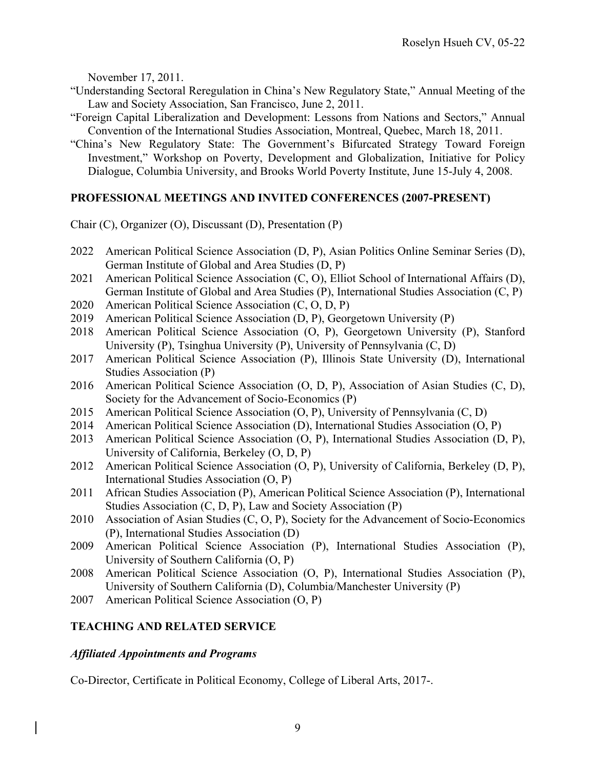November 17, 2011.

- "Understanding Sectoral Reregulation in China's New Regulatory State," Annual Meeting of the Law and Society Association, San Francisco, June 2, 2011.
- "Foreign Capital Liberalization and Development: Lessons from Nations and Sectors," Annual Convention of the International Studies Association, Montreal, Quebec, March 18, 2011.
- "China's New Regulatory State: The Government's Bifurcated Strategy Toward Foreign Investment," Workshop on Poverty, Development and Globalization, Initiative for Policy Dialogue, Columbia University, and Brooks World Poverty Institute, June 15-July 4, 2008.

### **PROFESSIONAL MEETINGS AND INVITED CONFERENCES (2007-PRESENT)**

Chair (C), Organizer (O), Discussant (D), Presentation (P)

- 2022 American Political Science Association (D, P), Asian Politics Online Seminar Series (D), German Institute of Global and Area Studies (D, P)
- 2021 American Political Science Association (C, O), Elliot School of International Affairs (D), German Institute of Global and Area Studies (P), International Studies Association (C, P)
- 2020 American Political Science Association (C, O, D, P)
- 2019 American Political Science Association (D, P), Georgetown University (P)
- 2018 American Political Science Association (O, P), Georgetown University (P), Stanford University (P), Tsinghua University (P), University of Pennsylvania (C, D)
- 2017 American Political Science Association (P), Illinois State University (D), International Studies Association (P)
- 2016 American Political Science Association (O, D, P), Association of Asian Studies (C, D), Society for the Advancement of Socio-Economics (P)
- 2015 American Political Science Association (O, P), University of Pennsylvania (C, D)
- 2014 American Political Science Association (D), International Studies Association (O, P)
- 2013 American Political Science Association (O, P), International Studies Association (D, P), University of California, Berkeley (O, D, P)
- 2012 American Political Science Association (O, P), University of California, Berkeley (D, P), International Studies Association (O, P)
- 2011 African Studies Association (P), American Political Science Association (P), International Studies Association (C, D, P), Law and Society Association (P)
- 2010 Association of Asian Studies (C, O, P), Society for the Advancement of Socio-Economics (P), International Studies Association (D)
- 2009 American Political Science Association (P), International Studies Association (P), University of Southern California (O, P)
- 2008 American Political Science Association (O, P), International Studies Association (P), University of Southern California (D), Columbia/Manchester University (P)
- 2007 American Political Science Association (O, P)

# **TEACHING AND RELATED SERVICE**

#### *Affiliated Appointments and Programs*

Co-Director, Certificate in Political Economy, College of Liberal Arts, 2017-.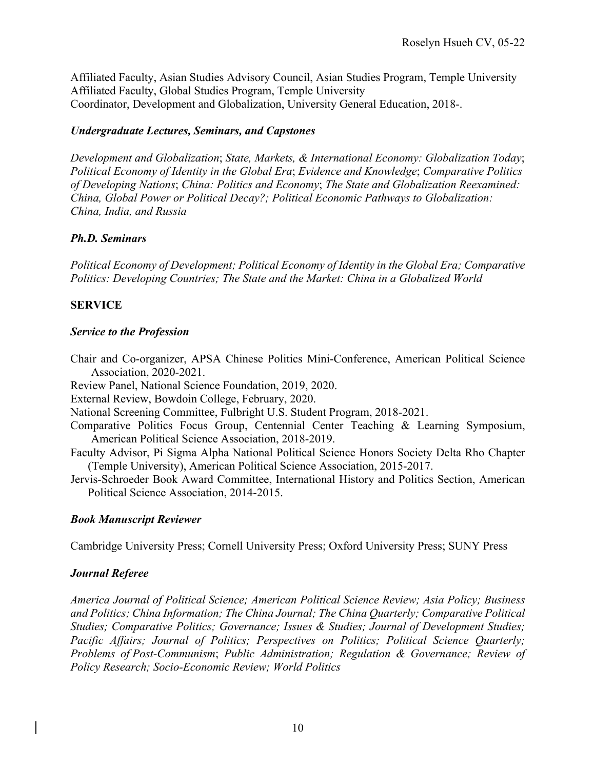Affiliated Faculty, Asian Studies Advisory Council, Asian Studies Program, Temple University Affiliated Faculty, Global Studies Program, Temple University Coordinator, Development and Globalization, University General Education, 2018-.

### *Undergraduate Lectures, Seminars, and Capstones*

*Development and Globalization*; *State, Markets, & International Economy: Globalization Today*; *Political Economy of Identity in the Global Era*; *Evidence and Knowledge*; *Comparative Politics of Developing Nations*; *China: Politics and Economy*; *The State and Globalization Reexamined: China, Global Power or Political Decay?; Political Economic Pathways to Globalization: China, India, and Russia*

### *Ph.D. Seminars*

*Political Economy of Development; Political Economy of Identity in the Global Era; Comparative Politics: Developing Countries; The State and the Market: China in a Globalized World*

# **SERVICE**

### *Service to the Profession*

Chair and Co-organizer, APSA Chinese Politics Mini-Conference, American Political Science Association, 2020-2021.

Review Panel, National Science Foundation, 2019, 2020.

External Review, Bowdoin College, February, 2020.

National Screening Committee, Fulbright U.S. Student Program, 2018-2021.

- Comparative Politics Focus Group, Centennial Center Teaching & Learning Symposium, American Political Science Association, 2018-2019.
- Faculty Advisor, Pi Sigma Alpha National Political Science Honors Society Delta Rho Chapter (Temple University), American Political Science Association, 2015-2017.
- Jervis-Schroeder Book Award Committee, International History and Politics Section, American Political Science Association, 2014-2015.

#### *Book Manuscript Reviewer*

Cambridge University Press; Cornell University Press; Oxford University Press; SUNY Press

#### *Journal Referee*

*America Journal of Political Science; American Political Science Review; Asia Policy; Business and Politics; China Information; The China Journal; The China Quarterly; Comparative Political Studies; Comparative Politics; Governance; Issues & Studies; Journal of Development Studies; Pacific Affairs; Journal of Politics; Perspectives on Politics; Political Science Quarterly; Problems of Post-Communism*; *Public Administration; Regulation & Governance; Review of Policy Research; Socio-Economic Review; World Politics*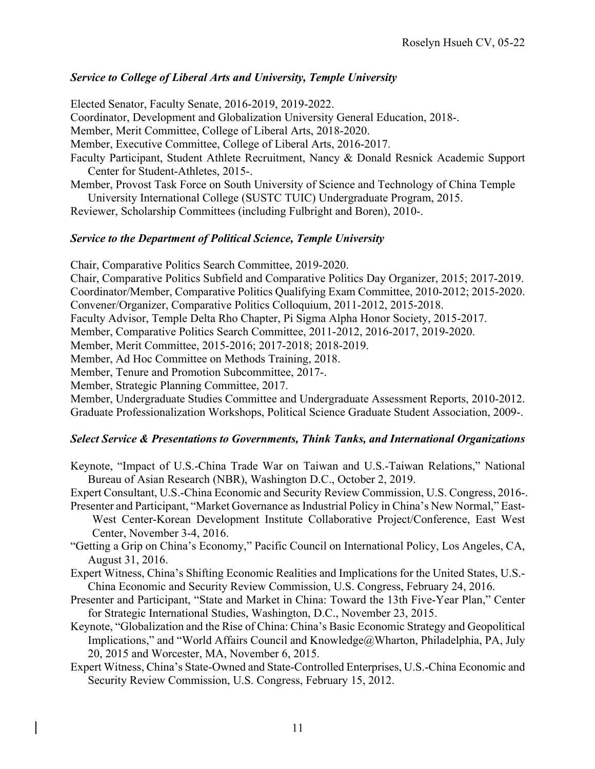# *Service to College of Liberal Arts and University, Temple University*

Elected Senator, Faculty Senate, 2016-2019, 2019-2022.

Coordinator, Development and Globalization University General Education, 2018-.

Member, Merit Committee, College of Liberal Arts, 2018-2020.

Member, Executive Committee, College of Liberal Arts, 2016-2017.

Faculty Participant, Student Athlete Recruitment, Nancy & Donald Resnick Academic Support Center for Student-Athletes, 2015-.

Member, Provost Task Force on South University of Science and Technology of China Temple University International College (SUSTC TUIC) Undergraduate Program, 2015.

Reviewer, Scholarship Committees (including Fulbright and Boren), 2010-.

# *Service to the Department of Political Science, Temple University*

Chair, Comparative Politics Search Committee, 2019-2020.

Chair, Comparative Politics Subfield and Comparative Politics Day Organizer, 2015; 2017-2019. Coordinator/Member, Comparative Politics Qualifying Exam Committee, 2010-2012; 2015-2020. Convener/Organizer, Comparative Politics Colloquium, 2011-2012, 2015-2018.

Faculty Advisor, Temple Delta Rho Chapter, Pi Sigma Alpha Honor Society, 2015-2017.

Member, Comparative Politics Search Committee, 2011-2012, 2016-2017, 2019-2020.

Member, Merit Committee, 2015-2016; 2017-2018; 2018-2019.

Member, Ad Hoc Committee on Methods Training, 2018.

Member, Tenure and Promotion Subcommittee, 2017-.

Member, Strategic Planning Committee, 2017.

Member, Undergraduate Studies Committee and Undergraduate Assessment Reports, 2010-2012. Graduate Professionalization Workshops, Political Science Graduate Student Association, 2009-.

# *Select Service & Presentations to Governments, Think Tanks, and International Organizations*

Keynote, "Impact of U.S.-China Trade War on Taiwan and U.S.-Taiwan Relations," National Bureau of Asian Research (NBR), Washington D.C., October 2, 2019.

Expert Consultant, U.S.-China Economic and Security Review Commission, U.S. Congress, 2016-.

Presenter and Participant, "Market Governance as Industrial Policy in China's New Normal," East-West Center-Korean Development Institute Collaborative Project/Conference, East West Center, November 3-4, 2016.

- "Getting a Grip on China's Economy," Pacific Council on International Policy, Los Angeles, CA, August 31, 2016.
- Expert Witness, China's Shifting Economic Realities and Implications for the United States, U.S.- China Economic and Security Review Commission, U.S. Congress, February 24, 2016.
- Presenter and Participant, "State and Market in China: Toward the 13th Five-Year Plan," Center for Strategic International Studies, Washington, D.C., November 23, 2015.
- Keynote, "Globalization and the Rise of China: China's Basic Economic Strategy and Geopolitical Implications," and "World Affairs Council and Knowledge@Wharton, Philadelphia, PA, July 20, 2015 and Worcester, MA, November 6, 2015.
- Expert Witness, China's State-Owned and State-Controlled Enterprises, U.S.-China Economic and Security Review Commission, U.S. Congress, February 15, 2012.